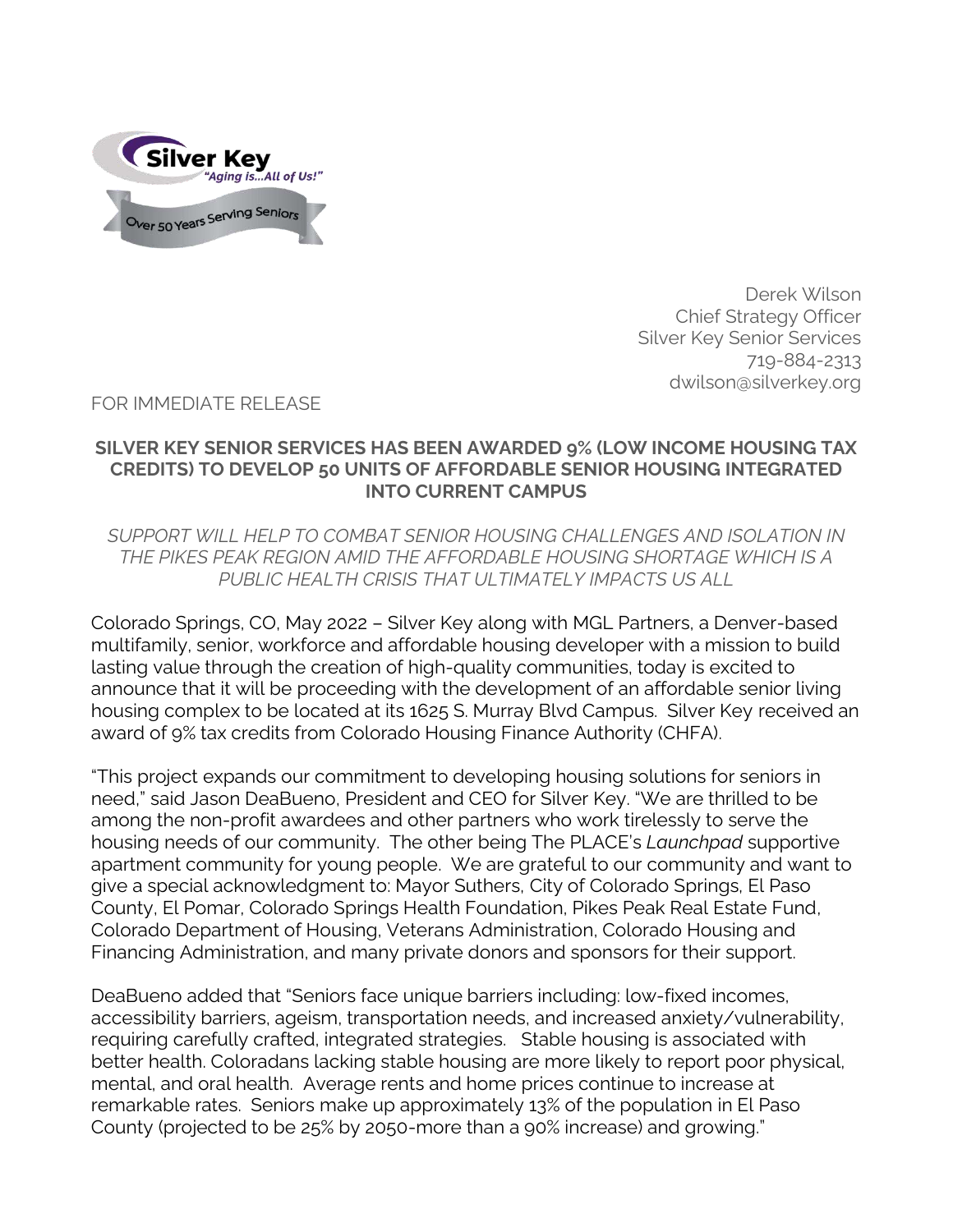

Derek Wilson Chief Strategy Officer Silver Key Senior Services 719-884-2313 dwilson@silverkey.org

FOR IMMEDIATE RELEASE

## **SILVER KEY SENIOR SERVICES HAS BEEN AWARDED 9% (LOW INCOME HOUSING TAX CREDITS) TO DEVELOP 50 UNITS OF AFFORDABLE SENIOR HOUSING INTEGRATED INTO CURRENT CAMPUS**

*SUPPORT WILL HELP TO COMBAT SENIOR HOUSING CHALLENGES AND ISOLATION IN THE PIKES PEAK REGION AMID THE AFFORDABLE HOUSING SHORTAGE WHICH IS A PUBLIC HEALTH CRISIS THAT ULTIMATELY IMPACTS US ALL* 

Colorado Springs, CO, May 2022 – Silver Key along with MGL Partners, a Denver-based multifamily, senior, workforce and affordable housing developer with a mission to build lasting value through the creation of high-quality communities, today is excited to announce that it will be proceeding with the development of an affordable senior living housing complex to be located at its 1625 S. Murray Blvd Campus. Silver Key received an award of 9% tax credits from Colorado Housing Finance Authority (CHFA).

"This project expands our commitment to developing housing solutions for seniors in need," said Jason DeaBueno, President and CEO for Silver Key. "We are thrilled to be among the non-profit awardees and other partners who work tirelessly to serve the housing needs of our community. The other being The PLACE's *Launchpad* supportive apartment community for young people. We are grateful to our community and want to give a special acknowledgment to: Mayor Suthers, City of Colorado Springs, El Paso County, El Pomar, Colorado Springs Health Foundation, Pikes Peak Real Estate Fund, Colorado Department of Housing, Veterans Administration, Colorado Housing and Financing Administration, and many private donors and sponsors for their support.

DeaBueno added that "Seniors face unique barriers including: low-fixed incomes, accessibility barriers, ageism, transportation needs, and increased anxiety/vulnerability, requiring carefully crafted, integrated strategies. Stable housing is associated with better health. Coloradans lacking stable housing are more likely to report poor physical, mental, and oral health. Average rents and home prices continue to increase at remarkable rates. Seniors make up approximately 13% of the population in El Paso County (projected to be 25% by 2050-more than a 90% increase) and growing."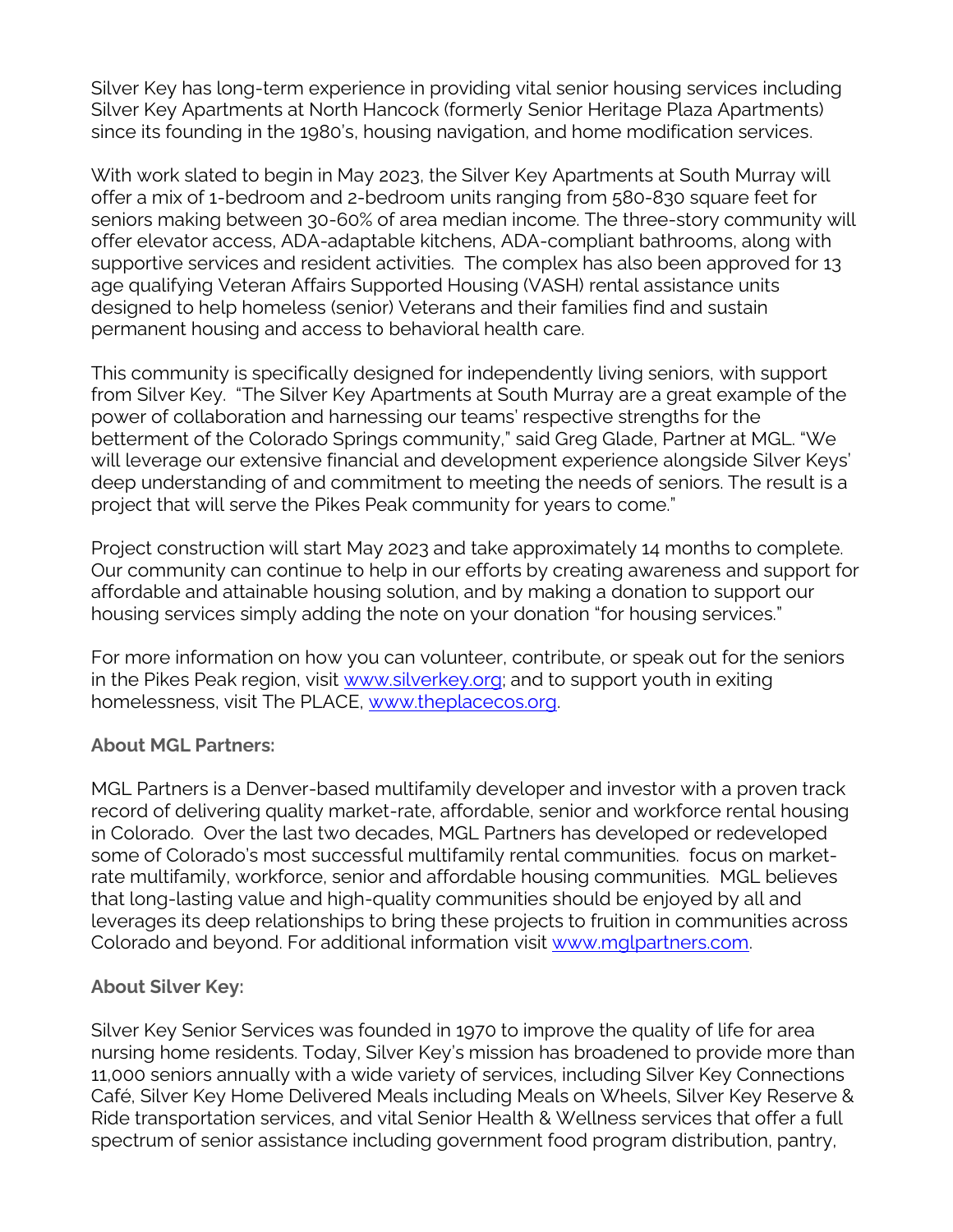Silver Key has long-term experience in providing vital senior housing services including Silver Key Apartments at North Hancock (formerly Senior Heritage Plaza Apartments) since its founding in the 1980's, housing navigation, and home modification services.

With work slated to begin in May 2023, the Silver Key Apartments at South Murray will offer a mix of 1-bedroom and 2-bedroom units ranging from 580-830 square feet for seniors making between 30-60% of area median income. The three-story community will offer elevator access, ADA-adaptable kitchens, ADA-compliant bathrooms, along with supportive services and resident activities. The complex has also been approved for 13 age qualifying Veteran Affairs Supported Housing (VASH) rental assistance units designed to help homeless (senior) Veterans and their families find and sustain permanent housing and access to behavioral health care.

This community is specifically designed for independently living seniors, with support from Silver Key. "The Silver Key Apartments at South Murray are a great example of the power of collaboration and harnessing our teams' respective strengths for the betterment of the Colorado Springs community," said Greg Glade, Partner at MGL. "We will leverage our extensive financial and development experience alongside Silver Keys' deep understanding of and commitment to meeting the needs of seniors. The result is a project that will serve the Pikes Peak community for years to come."

Project construction will start May 2023 and take approximately 14 months to complete. Our community can continue to help in our efforts by creating awareness and support for affordable and attainable housing solution, and by making a donation to support our housing services simply adding the note on your donation "for housing services."

For more information on how you can volunteer, contribute, or speak out for the seniors in the Pikes Peak region, visit [www.silverkey.org;](http://www.silverkey.org/) and to support youth in exiting homelessness, visit The PLACE, [www.theplacecos.org.](http://www.theplacecos.org/)

## **About MGL Partners:**

MGL Partners is a Denver-based multifamily developer and investor with a proven track record of delivering quality market-rate, affordable, senior and workforce rental housing in Colorado. Over the last two decades, MGL Partners has developed or redeveloped some of Colorado's most successful multifamily rental communities. focus on marketrate multifamily, workforce, senior and affordable housing communities. MGL believes that long-lasting value and high-quality communities should be enjoyed by all and leverages its deep relationships to bring these projects to fruition in communities across Colorado and beyond. For additional information visit [www.mglpartners.com.](http://www.mglpartners.com/)

## **About Silver Key:**

Silver Key Senior Services was founded in 1970 to improve the quality of life for area nursing home residents. Today, Silver Key's mission has broadened to provide more than 11,000 seniors annually with a wide variety of services, including Silver Key Connections Café, Silver Key Home Delivered Meals including Meals on Wheels, Silver Key Reserve & Ride transportation services, and vital Senior Health & Wellness services that offer a full spectrum of senior assistance including government food program distribution, pantry,